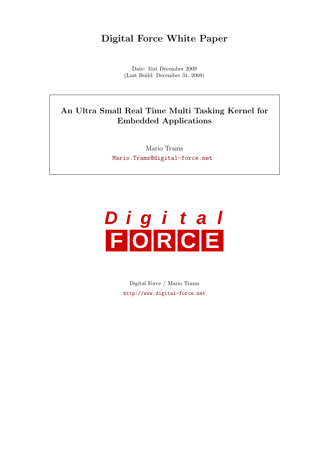# Digital Force White Paper

Date: 31st December 2009 (Last Build: December 31, 2009)

# An Ultra Small Real Time Multi Tasking Kernel for Embedded Applications

Mario Trams [Mario.Trams@digital-force.net](mailto:Mario.Trams@digital-force.net)



Digital Force / Mario Trams <http://www.digital-force.net>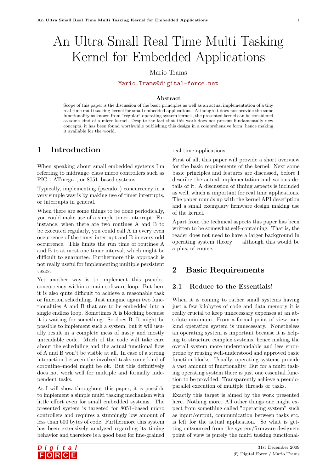# An Ultra Small Real Time Multi Tasking Kernel for Embedded Applications

# Mario Trams

[Mario.Trams@digital-force.net](mailto:Mario.Trams@digital-force.net)

#### Abstract

Scope of this paper is the discussion of the basic principles as well as an actual implementation of a tiny real time multi tasking kernel for small embedded applications. Although it does not provide the same functionality as known from "regular" operating system kernels, the presented kernel can be considered as some kind of a micro kernel. Despite the fact that this work does not present fundamentally new concepts, it has been found worthwhile publishing this design in a comprehensive form, hence making it available for the world.

# 1 Introduction

When speaking about small embedded systems I'm referring to midrange–class micro controllers such as PIC–, ATmega–, or 8051–based systems.

Typically, implementing (pseudo–) concurrency in a very simple way is by making use of timer interrupts, or interrupts in general.

When there are some things to be done periodically, you could make use of a simple timer interrupt. For instance, when there are two routines A and B to be executed regularly, you could call A in every even occurrence of the timer interrupt and B in every odd occurrence. This limits the run time of routines A and B to at most one timer interval, which might be difficult to guarantee. Furthermore this approach is not really useful for implementing multiple persistent tasks.

Yet another way is to implement this pseudo– concurrency within a main software loop. But here it is also quite difficult to achieve a reasonable task or function scheduling. Just imagine again two functionalities A and B that are to be embedded into a single endless loop. Sometimes A is blocking because it is waiting for something. So does B. It might be possible to implement such a system, but it will usually result in a complete mess of nasty and mostly unreadable code. Much of the code will take care about the scheduling and the actual functional flow of A and B won't be visible at all. In case of a strong interaction between the involved tasks some kind of coroutine–model might be ok. But this definitively does not work well for multiple and formally independent tasks.

As I will show throughout this paper, it is possible to implement a simple multi tasking mechanism with little effort even for small embedded systems. The presented system is targeted for 8051–based micro controllers and requires a stunningly low amount of less than 600 bytes of code. Furthermore this system has been extensively analyzed regarding its timing behavior and therefore is a good base for fine-grained

real time applications.

First of all, this paper will provide a short overview for the basic requirements of the kernel. Next some basic principles and features are discussed, before I describe the actual implementation and various details of it. A discussion of timing aspects is included as well, which is important for real time applications. The paper rounds up with the kernel API description and a small exemplary firmware design making use of the kernel.

Apart from the technical aspects this paper has been written to be somewhat self–containing. That is, the reader does not need to have a larger background in operating system theory — although this would be a plus, of course.

# 2 Basic Requirements

# 2.1 Reduce to the Essentials!

When it is coming to rather small systems having just a few kilobytes of code and data memory it is really crucial to keep unnecessary expenses at an absolute minimum. From a formal point of view, any kind operation system is unnecessary. Nonetheless an operating system is important because it is helping to structure complex systems, hence making the overall system more understandable and less errorprone by reusing well-understood and approved basic function blocks. Usually, operating systems provide a vast amount of functionality. But for a multi tasking operating system there is just one essential function to be provided: Transparently achieve a pseudoparallel execution of multiple threads or tasks.

Exactly this target is aimed by the work presented here. Nothing more. All other things one might expect from something called "operating system" such as input/output, communication between tasks etc. is left for the actual application. So what is getting outsourced from the system/firmware designers point of view is purely the multi tasking functional-

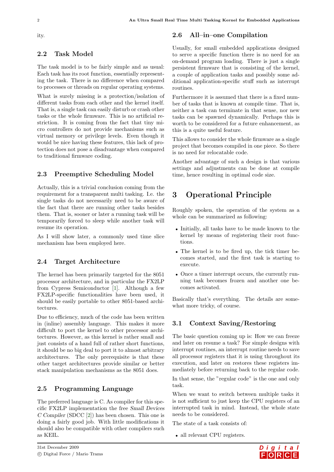ity.

# 2.2 Task Model

The task model is to be fairly simple and as usual: Each task has its root function, essentially representing the task. There is no difference when compared to processes or threads on regular operating systems.

What is surely missing is a protection/isolation of different tasks from each other and the kernel itself. That is, a single task can easily disturb or crash other tasks or the whole firmware. This is no artificial restriction. It is coming from the fact that tiny micro controllers do not provide mechanisms such as virtual memory or privilege levels. Even though it would be nice having these features, this lack of protection does not pose a disadvantage when compared to traditional firmware coding.

#### 2.3 Preemptive Scheduling Model

Actually, this is a trivial conclusion coming from the requirement for a transparent multi tasking. I.e. the single tasks do not necessarily need to be aware of the fact that there are running other tasks besides them. That is, sooner or later a running task will be temporarily forced to sleep while another task will resume its operation.

As I will show later, a commonly used time slice mechanism has been employed here.

## 2.4 Target Architecture

The kernel has been primarily targeted for the 8051 processor architecture, and in particular the FX2LP from Cypress Semiconductor [\[1\]](#page-20-0). Although a few FX2LP-specific functionalities have been used, it should be easily portable to other 8051-based architectures.

Due to efficiency, much of the code has been written in (inline) assembly language. This makes it more difficult to port the kernel to other processor architectures. However, as this kernel is rather small and just consists of a hand full of rather short functions, it should be no big deal to port it to almost arbitrary architectures. The only prerequisite is that these other target architectures provide similar or better stack manipulation mechanisms as the 8051 does.

#### 2.5 Programming Language

The preferred language is C. As compiler for this specific FX2LP implementation the free Small Devices C Compiler (SDCC [\[2\]](#page-20-1)) has been chosen. This one is doing a fairly good job. With little modifications it should also be compatible with other compilers such as KEIL.

# 2.6 All–in–one Compilation

Usually, for small embedded applications designed to serve a specific function there is no need for an on-demand program loading. There is just a single persistent firmware that is consisting of the kernel, a couple of application tasks and possibly some additional application-specific stuff such as interrupt routines.

Furthermore it is assumed that there is a fixed number of tasks that is known at compile time. That is, neither a task can terminate in that sense, nor new tasks can be spawned dynamically. Perhaps this is worth to be considered for a future enhancement, as this is a quite useful feature.

This allows to consider the whole firmware as a single project that becomes compiled in one piece. So there is no need for relocatable code.

Another advantage of such a design is that various settings and adjustments can be done at compile time, hence resulting in optimal code size.

# 3 Operational Principle

Roughly spoken, the operation of the system as a whole can be summarized as following:

- Initially, all tasks have to be made known to the kernel by means of registering their root functions.
- The kernel is to be fired up, the tick timer becomes started, and the first task is starting to execute.
- Once a timer interrupt occurs, the currently running task becomes frozen and another one becomes activated.

Basically that's everything. The details are somewhat more tricky, of course.

# 3.1 Context Saving/Restoring

The basic question coming up is: How we can freeze and later on resume a task? For simple designs with interrupt routines, an interrupt routine needs to save all processor registers that it is using throughout its execution, and later on restores these registers immediately before returning back to the regular code.

In that sense, the "regular code" is the one and only task.

When we want to switch between multiple tasks it is not sufficient to just keep the CPU registers of an interrupted task in mind. Instead, the whole state needs to be considered.

The state of a task consists of:

• all relevant CPU registers.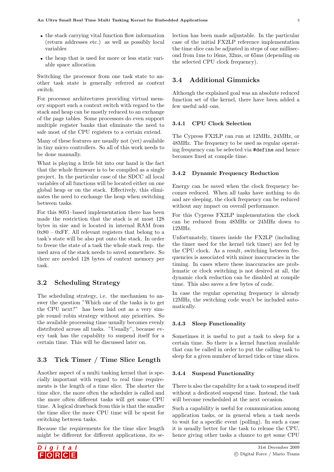- the stack carrying vital function flow information (return addresses etc.) as well as possibly local variables
- the heap that is used for more or less static variable space allocation

Switching the processor from one task state to another task state is generally referred as context switch.

For processor architectures providing virtual memory support such a context switch with regard to the stack and heap can be mostly reduced to an exchange of the page tables. Some processors do even support multiple register banks that eliminate the need to safe most of the CPU registers to a certain extend.

Many of these features are usually not (yet) available in tiny micro controllers. So all of this work needs to be done manually.

What is playing a little bit into our hand is the fact that the whole firmware is to be compiled as a single project. In the particular case of the SDCC all local variables of all functions will be located either on one global heap or on the stack. Effectively, this eliminates the need to exchange the heap when switching between tasks.

For this 8051–based implementation there has been made the restriction that the stack is at most 128 bytes in size and is located in internal RAM from  $0x80 - 0xFF$ . All relevant registers that belong to a task's state will be also put onto the stack. In order to freeze the state of a task the whole stack resp. the used area of the stack needs to saved somewhere. So there are needed 128 bytes of context memory per task.

# 3.2 Scheduling Strategy

The scheduling strategy, i.e. the mechanism to answer the question "Which one of the tasks is to get the CPU next?" has been laid out as a very simple round–robin strategy without any priorities. So the available processing time usually becomes evenly distributed across all tasks. "Usually", because every task has the capability to suspend itself for a certain time. This will be discussed later on.

# 3.3 Tick Timer / Time Slice Length

Another aspect of a multi tasking kernel that is specially important with regard to real time requirements is the length of a time slice. The shorter the time slice, the more often the scheduler is called and the more often different tasks will get some CPU time. A logical drawback from this is that the smaller the time slice the more CPU time will be spent for switching between tasks.

Because the requirements for the time slice length might be different for different applications, its se-



# 3.4 Additional Gimmicks

Although the explained goal was an absolute reduced function set of the kernel, there have been added a few useful add–ons.

#### 3.4.1 CPU Clock Selection

The Cypress FX2LP can run at 12MHz, 24MHz, or 48MHz. The frequency to be used as regular operating frequency can be selected via #define and hence becomes fixed at compile time.

#### 3.4.2 Dynamic Frequency Reduction

Energy can be saved when the clock frequency becomes reduced. When all tasks have nothing to do and are sleeping, the clock frequency can be reduced without any impact on overall performance.

For this Cypress FX2LP implementation the clock can be reduced from 48MHz or 24MHz down to 12MHz.

Unfortunately, timers inside the FX2LP (including the timer used for the kernel tick timer) are fed by the CPU clock. As a result, switching between frequencies is associated with minor inaccuracies in the timing. In cases where these inaccuracies are problematic or clock switching is not desired at all, the dynamic clock reduction can be disabled at compile time. This also saves a few bytes of code.

In case the regular operating frequency is already 12MHz, the switching code won't be included automatically.

#### 3.4.3 Sleep Functionality

Sometimes it is useful to put a task to sleep for a certain time. So there is a kernel function available that can be called in order to put the calling task to sleep for a given number of kernel ticks or time slices.

#### 3.4.4 Suspend Functionality

There is also the capability for a task to suspend itself without a dedicated suspend time. Instead, the task will become rescheduled at the next occasion.

Such a capability is useful for communication among application tasks, or in general when a task needs to wait for a specific event (polling). In such a case it is usually better for the task to release the CPU, hence giving other tasks a chance to get some CPU

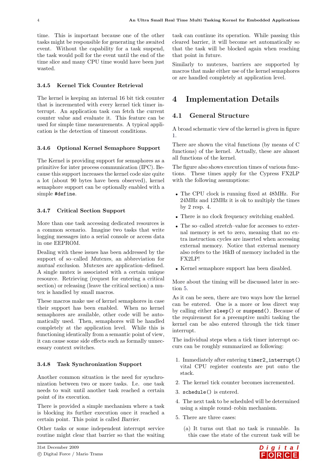time. This is important because one of the other tasks might be responsible for generating the awaited event. Without the capability for a task suspend, the task would poll for the event until the end of the time slice and many CPU time would have been just wasted.

# 3.4.5 Kernel Tick Counter Retrieval

The kernel is keeping an internal 16 bit tick counter that is incremented with every kernel tick timer interrupt. An application task can fetch the current counter value and evaluate it. This feature can be used for simple time measurements. A typical application is the detection of timeout conditions.

## 3.4.6 Optional Kernel Semaphore Support

The Kernel is providing support for semaphores as a primitive for inter process communication (IPC). Because this support increases the kernel code size quite a lot (about 90 bytes have been observed), kernel semaphore support can be optionally enabled with a simple #define.

## 3.4.7 Critical Section Support

More than one task accessing dedicated resources is a common scenario. Imagine two tasks that write logging messages into a serial console or access data in one EEPROM.

Dealing with these issues has been addressed by the support of so–called Mutexes, an abbreviation for mutual exclusion. Mutexes are application–defined. A single mutex is associated with a certain unique resource. Retrieving (request for entering a critical section) or releasing (leave the critical section) a mutex is handled by small macros.

These macros make use of kernel semaphores in case their support has been enabled. When no kernel semaphores are available, other code will be automatically used. Then, semaphores will be handled completely at the application level. While this is functioning identically from a semantic point of view, it can cause some side effects such as formally unnecessary context switches.

#### 3.4.8 Task Synchronization Support

Another common situation is the need for synchronization between two or more tasks. I.e. one task needs to wait until another task reached a certain point of its execution.

There is provided a simple mechanism where a task is blocking its further execution once it reached a certain point. This point is called Barrier.

Other tasks or some independent interrupt service routine might clear that barrier so that the waiting

task can continue its operation. While passing this cleared barrier, it will become set automatically so that the task will be blocked again when reaching that point in future.

Similarly to mutexes, barriers are supported by macros that make either use of the kernel semaphores or are handled completely at application level.

# 4 Implementation Details

## 4.1 General Structure

A broad schematic view of the kernel is given in figure [1.](#page-6-0)

There are shown the vital functions (by means of C functions) of the kernel. Actually, these are almost all functions of the kernel.

The figure also shows execution times of various functions. These times apply for the Cypress FX2LP with the following assumptions:

- The CPU clock is running fixed at 48MHz. For 24MHz and 12MHz it is ok to multiply the times by 2 resp. 4.
- There is no clock frequency switching enabled.
- The so–called stretch–value for accesses to external memory is set to zero, meaning that no extra instruction cycles are inserted when accessing external memory. Notice that external memory also refers to the 16kB of memory included in the FX2LP!
- Kernel semaphore support has been disabled.

More about the timing will be discussed later in section [5.](#page-12-0)

As it can be seen, there are two ways how the kernel can be entered. One is a more or less direct way by calling either sleep() or suspend(). Because of the requirement for a preemptive multi tasking the kernel can be also entered through the tick timer interrupt.

The individual steps when a tick timer interrupt occurs can be roughly summarized as following:

- 1. Immediately after entering timer2\_interrupt() vital CPU register contents are put onto the stack.
- 2. The kernel tick counter becomes incremented.
- 3. schedule() is entered.
- 4. The next task to be scheduled will be determined using a simple round–robin mechanism.
- 5. There are three cases:

(a) It turns out that no task is runnable. In this case the state of the current task will be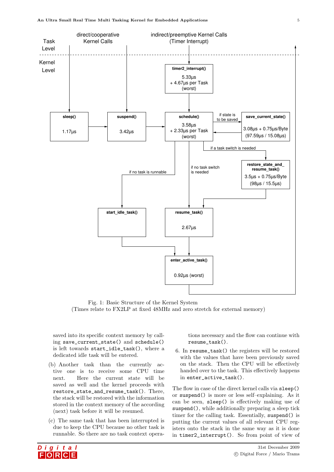

<span id="page-6-0"></span>Fig. 1: Basic Structure of the Kernel System (Times relate to FX2LP at fixed 48MHz and zero stretch for external memory)

saved into its specific context memory by calling save\_current\_state() and schedule() is left towards start\_idle\_task(), where a dedicated idle task will be entered.

- (b) Another task than the currently active one is to receive some CPU time next. Here the current state will be saved as well and the kernel proceeds with restore\_state\_and\_resume\_task(). There, the stack will be restored with the information stored in the context memory of the according (next) task before it will be resumed.
- (c) The same task that has been interrupted is due to keep the CPU because no other task is runnable. So there are no task context opera-



tions necessary and the flow can continue with resume\_task().

6. In resume\_task() the registers will be restored with the values that have been previously saved on the stack. Then the CPU will be effectively handed over to the task. This effectively happens in enter\_active\_task().

The flow in case of the direct kernel calls via sleep() or suspend() is more or less self–explaining. As it can be seen, sleep() is effectively making use of suspend(), while additionally preparing a sleep tick timer for the calling task. Essentially, suspend() is putting the current values of all relevant CPU registers onto the stack in the same way as it is done in timer2\_interrupt(). So from point of view of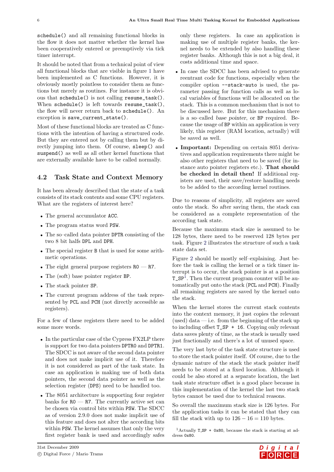schedule() and all remaining functional blocks in the flow it does not matter whether the kernel has been cooperatively entered or preemptively via tick timer interrupt.

It should be noted that from a technical point of view all functional blocks that are visible in figure [1](#page-6-0) have been implemented as C functions. However, it is obviously mostly pointless to consider them as functions but merely as routines. For instance it is obvious that schedule() is not calling resume\_task(). When schedule() is left towards resume\_task(), the flow will never return back to schedule(). An exception is save\_current\_state().

Most of these functional blocks are treated as C functions with the intention of having a structured code. But they are entered not by calling them but by directly jumping into them. Of course, sleep() and suspend() as well as all other kernel functions that are externally available have to be called normally.

# <span id="page-7-1"></span>4.2 Task State and Context Memory

It has been already described that the state of a task consists of its stack contents and some CPU registers. What are the registers of interest here?

- The general accumulator ACC.
- The program status word PSW.
- The so–called data pointer DPTR consisting of the two 8 bit halfs DPL and DPH.
- The special register B that is used for some arithmetic operations.
- The eight general purpose registers  $RO R7$ .
- The (soft) base pointer register BP.
- The stack pointer SP.
- The current program address of the task represented by PCL and PCH (not directly accessible as registers).

For a few of these registers there need to be added some more words.

- In the particular case of the Cypress FX2LP there is support for two data pointers DPTR0 and DPTR1. The SDCC is not aware of the second data pointer and does not make implicit use of it. Therefore it is not considered as part of the task state. In case an application is making use of both data pointers, the second data pointer as well as the selection register (DPS) need to be handled too.
- The 8051 architecture is supporting four register banks for  $R0 - R7$ . The currently active set can be chosen via control bits within PSW. The SDCC as of version 2.9.0 does not make implicit use of this feature and does not alter the according bits within PSW. The kernel assumes that only the very first register bank is used and accordingly safes

only these registers. In case an application is making use of multiple register banks, the kernel needs to be extended by also handling these register banks. Although this is not a big deal, it costs additional time and space.

- In case the SDCC has been advised to generate reentrant code for functions, especially when the compiler option --stack-auto is used, the parameter passing for function calls as well as local variables of functions will be allocated on the stack. This is a common mechanism that is not to be discussed here. But for this mechanism there is a so–called base pointer, or BP required. Because the usage of BP within an application is very likely, this register (RAM location, actually) will be saved as well.
- **Important:** Depending on certain 8051 derivatives and application requirements there might be also other registers that need to be saved (for instance auto pointer registers etc.). That should be checked in detail then! If additional registers are used, their save/restore handling needs to be added to the according kernel routines.

Due to reasons of simplicity, all registers are saved onto the stack. So after saving them, the stack can be considered as a complete representation of the according task state.

Because the maximum stack size is assumed to be 128 bytes, there need to be reserved 128 bytes per task. Figure [2](#page-8-0) illustrates the structure of such a task state data set.

Figure [2](#page-8-0) should be mostly self–explaining. Just before the task is calling the kernel or a tick timer interrupt is to occur, the stack pointer is at a position T\_SP[1](#page-7-0) . Then the current program counter will be automatically put onto the stack (PCL and PCH). Finally all remaining registers are saved by the kernel onto the stack.

When the kernel stores the current stack contents into the context memory, it just copies the relevant (used) data  $-$  i.e. from the beginning of the stack up to including offset  $T_S P + 16$ . Copying only relevant data saves plenty of time, as the stack is usually used just fractionally and there's a lot of unused space.

The very last byte of the task state structure is used to store the stack pointer itself. Of course, due to the dynamic nature of the stack the stack pointer itself needs to be stored at a fixed location. Although it could be also stored at a separate location, the last task state structure offset is a good place because in this implementation of the kernel the last two stack bytes cannot be used due to technical reasons.

So overall the maximum stack size is 126 bytes. For the application tasks it can be stated that they can fill the stack with up to  $126 - 16 = 110$  bytes.

<span id="page-7-0"></span><sup>1</sup> Actually **T\_SP** + 0x80, because the stack is starting at address 0x80.

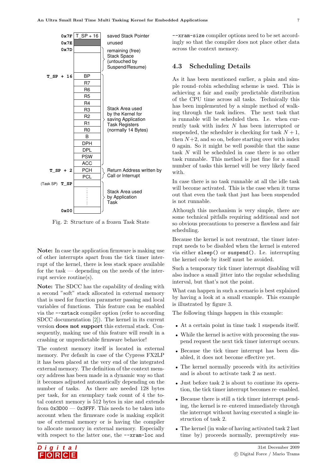

<span id="page-8-0"></span>Fig. 2: Structure of a frozen Task State

Note: In case the application firmware is making use of other interrupts apart from the tick timer interrupt of the kernel, there is less stack space available for the task — depending on the needs of the interrupt service routine(s).

Note: The SDCC has the capability of dealing with a second "soft" stack allocated in external memory that is used for function parameter passing and local variables of functions. This feature can be enabled via the --xstack compiler option (refer to according SDCC documentation [\[2\]](#page-20-1)). The kernel in its current version does not support this external stack. Consequently, making use of this feature will result in a crashing or unpredictable firmware behavior!

The context memory itself is located in external memory. Per default in case of the Cypress FX2LP it has been placed at the very end of the integrated external memory. The definition of the context memory address has been made in a dynamic way so that it becomes adjusted automatically depending on the number of tasks. As there are needed 128 bytes per task, for an exemplary task count of 4 the total context memory is 512 bytes in size and extends from 0x3D00 — 0x3FFF. This needs to be taken into account when the firmware code is making explicit use of external memory or is having the compiler to allocate memory in external memory. Especially with respect to the latter one, the  $-\text{gram-loc}$  and

--xram-size compiler options need to be set accordingly so that the compiler does not place other data across the context memory.

#### <span id="page-8-1"></span>4.3 Scheduling Details

As it has been mentioned earlier, a plain and simple round–robin scheduling scheme is used. This is achieving a fair and easily predictable distribution of the CPU time across all tasks. Technically this has been implemented by a simple method of walking through the task indices. The next task that is runnable will be scheduled then. I.e. when currently task with index N has been interrupted or suspended, the scheduler is checking for task  $N + 1$ , then  $N+2$ , and so on, before starting over with index 0 again. So it might be well possible that the same task N will be scheduled in case there is no other task runnable. This method is just fine for a small number of tasks this kernel will be very likely faced with.

In case there is no task runnable at all the idle task will become activated. This is the case when it turns out that even the task that just has been suspended is not runnable.

Although this mechanism is very simple, there are some technical pitfalls requiring additional and not so obvious precautions to preserve a flawless and fair scheduling.

Because the kernel is not reentrant, the timer interrupt needs to be disabled when the kernel is entered via either sleep() or suspend(). I.e. interrupting the kernel code by itself must be avoided.

Such a temporary tick timer interrupt disabling will also induce a small jitter into the regular scheduling interval, but that's not the point.

What can happen in such a scenario is best explained by having a look at a small example. This example is illustrated by figure [3.](#page-9-0)

The following things happen in this example:

- At a certain point in time task 1 suspends itself.
- While the kernel is active with processing the suspend request the next tick timer interrupt occurs.
- Because the tick timer interrupt has been disabled, it does not become effective yet.
- The kernel normally proceeds with its activities and is about to activate task 2 as next.
- Just before task 2 is about to continue its operation, the tick timer interrupt becomes re–enabled.
- Because there is still a tick timer interrupt pending, the kernel is re–entered immediately through the interrupt without having executed a single instruction of task 2.
- The kernel (in wake of having activated task 2 last time by) proceeds normally, preemptively sus-

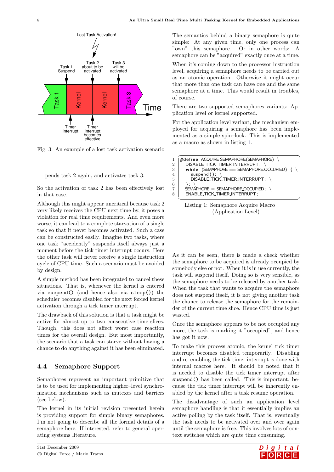

<span id="page-9-0"></span>Fig. 3: An example of a lost task activation scenario

```
pends task 2 again, and activates task 3.
```
So the activation of task 2 has been effectively lost in that case.

Although this might appear uncritical because task 2 very likely receives the CPU next time by, it poses a violation for real time requirements. And even more worse, it can lead to a complete starvation of a single task so that it never becomes activated. Such a case can be constructed easily. Imagine two tasks, where one task "accidently" suspends itself always just a moment before the tick timer interrupt occurs. Here the other task will never receive a single instruction cycle of CPU time. Such a scenario must be avoided by design.

A simple method has been integrated to cancel these situations. That is, whenever the kernel is entered via suspend() (and hence also via sleep()) the scheduler becomes disabled for the next forced kernel activation through a tick timer interrupt.

The drawback of this solution is that a task might be active for almost up to two consecutive time slices. Though, this does not affect worst case reaction times for the overall design. But most importantly, the scenario that a task can starve without having a chance to do anything against it has been eliminated.

## 4.4 Semaphore Support

Semaphores represent an important primitive that is to be used for implementing higher–level synchronization mechanisms such as mutexes and barriers (see below).

The kernel in its initial revision presented herein is providing support for simple binary semaphores. I'm not going to describe all the formal details of a semaphore here. If interested, refer to general operating systems literature.

The semantics behind a binary semaphore is quite simple: At any given time, only one process can "own" this semaphore. Or in other words: A semaphore can be "acquired" exactly once at a time.

When it's coming down to the processor instruction level, acquiring a semaphore needs to be carried out as an atomic operation. Otherwise it might occur that more than one task can have one and the same semaphore at a time. This would result in troubles, of course.

There are two supported semaphores variants: Application level or kernel supported.

For the application level variant, the mechanism employed for acquiring a semaphore has been implemented as a simple spin–lock. This is implemented as a macro as shown in listing [1.](#page-9-1)

<span id="page-9-1"></span>



As it can be seen, there is made a check whether the semaphore to be acquired is already occupied by somebody else or not. When it is in use currently, the task will suspend itself. Doing so is very sensible, as the semaphore needs to be released by another task. When the task that wants to acquire the semaphore does not suspend itself, it is not giving another task the chance to release the semaphore for the remainder of the current time slice. Hence CPU time is just wasted.

Once the semaphore appears to be not occupied any more, the task is marking it "occupied", and hence has got it now.

To make this process atomic, the kernel tick timer interrupt becomes disabled temporarily. Disabling and re–enabling the tick timer interrupt is done with internal macros here. It should be noted that it is needed to disable the tick timer interrupt after suspend() has been called. This is important, because the tick timer interrupt will be inherently enabled by the kernel after a task resume operation.

The disadvantage of such an application level semaphore handling is that it essentially implies an active polling by the task itself. That is, eventually the task needs to be activated over and over again until the semaphore is free. This involves lots of context switches which are quite time consuming.

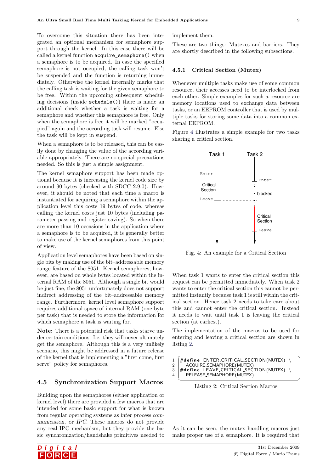To overcome this situation there has been integrated an optional mechanism for semaphore support through the kernel. In this case there will be called a kernel function acquire\_semaphore() when a semaphore is to be acquired. In case the specified semaphore is not occupied, the calling task won't be suspended and the function is returning immediately. Otherwise the kernel internally marks that the calling task is waiting for the given semaphore to be free. Within the upcoming subsequent scheduling decisions (inside schedule()) there is made an additional check whether a task is waiting for a semaphore and whether this semaphore is free. Only when the semaphore is free it will be marked "occupied" again and the according task will resume. Else the task will be kept in suspend.

When a semaphore is to be released, this can be easily done by changing the value of the according variable appropriately. There are no special precautions needed. So this is just a simple assignment.

The kernel semaphore support has been made optional because it is increasing the kernel code size by around 90 bytes (checked with SDCC 2.9.0). However, it should be noted that each time a macro is instantiated for acquiring a semaphore within the application level this costs 19 bytes of code, whereas calling the kernel costs just 10 bytes (including parameter passing and register saving). So when there are more than 10 occasions in the application where a semaphore is to be acquired, it is generally better to make use of the kernel semaphores from this point of view.

Application level semaphores have been based on single bits by making use of the bit–addressable memory range feature of the 8051. Kernel semaphores, however, are based on whole bytes located within the internal RAM of the 8051. Although a single bit would be just fine, the 8051 unfortunately does not support indirect addressing of the bit–addressable memory range. Furthermore, kernel level semaphore support requires additional space of internal RAM (one byte per task) that is needed to store the information for which semaphore a task is waiting for.

Note: There is a potential risk that tasks starve under certain conditions. I.e. they will never ultimately get the semaphore. Although this is a very unlikely scenario, this might be addressed in a future release of the kernel that is implementing a "first come, first serve" policy for semaphores.

#### 4.5 Synchronization Support Macros

Building upon the semaphores (either application or kernel level) there are provided a few macros that are intended for some basic support for what is known from regular operating systems as inter process communication, or IPC. These macros do not provide any real IPC mechanism, but they provide the basic synchronization/handshake primitives needed to



These are two things: Mutexes and barriers. They are shortly described in the following subsections.

#### 4.5.1 Critical Section (Mutex)

Whenever multiple tasks make use of some common resource, their accesses need to be interlocked from each other. Simple examples for such a resource are memory locations used to exchange data between tasks, or an EEPROM controller that is used by multiple tasks for storing some data into a common external EEPROM.

Figure [4](#page-10-0) illustrates a simple example for two tasks sharing a critical section.



<span id="page-10-0"></span>Fig. 4: An example for a Critical Section

When task 1 wants to enter the critical section this request can be permitted immediately. When task 2 wants to enter the critical section this cannot be permitted instantly because task 1 is still within the critical section. Hence task 2 needs to take care about this and cannot enter the critical section. Instead it needs to wait until task 1 is leaving the critical section (at earliest).

The implementation of the macros to be used for entering and leaving a critical section are shown in listing [2.](#page-10-1)

<span id="page-10-1"></span>

|                | $#define$ ENTER_CRITICAL_SECTION (MUTEX) |
|----------------|------------------------------------------|
| $\overline{2}$ | ACQUIRE_SEMAPHORE(MUTEX)                 |
|                | #define LEAVE_CRITICAL_SECTION(MUTEX) \  |
|                | RELEASE_SEMAPHORE(MUTEX)                 |
|                |                                          |

Listing 2: Critical Section Macros

As it can be seen, the mutex handling macros just make proper use of a semaphore. It is required that

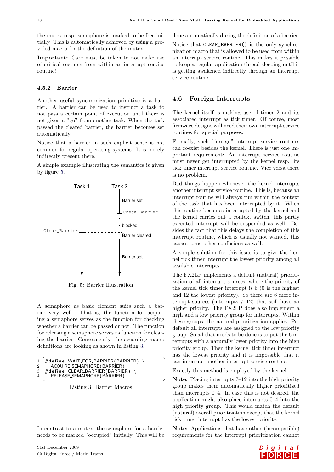the mutex resp. semaphore is marked to be free initially. This is automatically achieved by using a provided macro for the definition of the mutex.

Important: Care must be taken to not make use of critical sections from within an interrupt service routine!

#### 4.5.2 Barrier

Another useful synchronization primitive is a barrier. A barrier can be used to instruct a task to not pass a certain point of execution until there is not given a "go" from another task. When the task passed the cleared barrier, the barrier becomes set automatically.

Notice that a barrier in such explicit sense is not common for regular operating systems. It is merely indirectly present there.

A simple example illustrating the semantics is given by figure [5.](#page-11-0)



<span id="page-11-0"></span>Fig. 5: Barrier Illustration

A semaphore as basic element suits such a barrier very well. That is, the function for acquiring a semaphore serves as the function for checking whether a barrier can be passed or not. The function for releasing a semaphore serves as function for clearing the barrier. Consequently, the according macro definitions are looking as shown in listing [3.](#page-11-1)

<span id="page-11-1"></span>

| $\mathbf{1}$  | $\#$ define WAIT_FOR_BARRIER(BARRIER) |
|---------------|---------------------------------------|
| $2^{\dagger}$ | ACQUIRE_SEMAPHORE (BARRIER)           |
| 3             | $\#$ define CLEAR_BARRIER(BARRIER)    |
|               | RELEASE_SEMAPHORE (BARRIER)           |

Listing 3: Barrier Macros

In contrast to a mutex, the semaphore for a barrier needs to be marked "occupied" initially. This will be done automatically during the definition of a barrier.

Notice that CLEAR\_BARRIER() is the only synchronization macro that is allowed to be used from within an interrupt service routine. This makes it possible to keep a regular application thread sleeping until it is getting awakened indirectly through an interrupt service routine.

#### 4.6 Foreign Interrupts

The kernel itself is making use of timer 2 and its associated interrupt as tick timer. Of course, most firmware designs will need their own interrupt service routines for special purposes.

Formally, such "foreign" interrupt service routines can coexist besides the kernel. There is just one important requirement: An interrupt service routine must never get interrupted by the kernel resp. its tick timer interrupt service routine. Vice versa there is no problem.

Bad things happen whenever the kernel interrupts another interrupt service routine. This is, because an interrupt routine will always run within the context of the task that has been interrupted by it. When this routine becomes interrupted by the kernel and the kernel carries out a context switch, this partly executed interrupt will be suspended as well. Besides the fact that this delays the completion of this interrupt routine, which is usually not wanted, this causes some other confusions as well.

A simple solution for this issue is to give the kernel tick timer interrupt the lowest priority among all available interrupts.

The FX2LP implements a default (natural) prioritization of all interrupt sources, where the priority of the kernel tick timer interrupt is 6 (0 is the highest and 12 the lowest priority). So there are 6 more interrupt sources (interrupts 7–12) that still have an higher priority. The FX2LP does also implement a high and a low priority group for interrupts. Within these groups, the natural prioritization applies. Per default all interrupts are assigned to the low priority group. So all that needs to be done is to put the 6 interrupts with a naturally lower priority into the high priority group. Then the kernel tick timer interrupt has the lowest priority and it is impossible that it can interrupt another interrupt service routine.

Exactly this method is employed by the kernel.

Note: Placing interrupts 7–12 into the high priority group makes them automatically higher prioritized than interrupts 0–4. In case this is not desired, the application might also place interrupts 0–4 into the high priority group. This would match the default (natural) overall prioritization except that the kernel tick timer interrupt has the lowest priority.

Note: Applications that have other (incompatible) requirements for the interrupt prioritization cannot

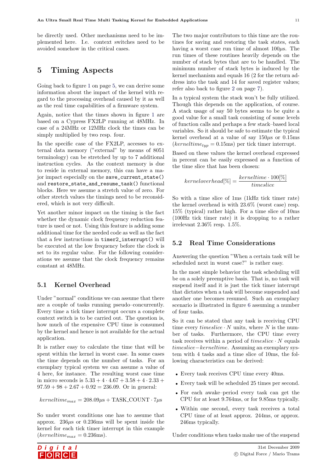be directly used. Other mechanisms need to be implemented here. I.e. context switches need to be avoided somehow in the critical cases.

# <span id="page-12-0"></span>5 Timing Aspects

Going back to figure [1](#page-6-0) on page [5,](#page-6-0) we can derive some information about the impact of the kernel with regard to the processing overhead caused by it as well as the real time capabilities of a firmware system.

Again, notice that the times shown in figure [1](#page-6-0) are based on a Cypress FX2LP running at 48MHz. In case of a 24MHz or 12MHz clock the times can be simply multiplied by two resp. four.

In the specific case of the FX2LP, accesses to external data memory ("external" by means of 8051 terminology) can be stretched by up to 7 additional instruction cycles. As the context memory is due to reside in external memory, this can have a major impact especially on the save\_current\_state() and restore\_state\_and\_resume\_task() functional blocks. Here we assume a stretch value of zero. For other stretch values the timings need to be reconsidered, which is not very difficult.

Yet another minor impact on the timing is the fact whether the dynamic clock frequency reduction feature is used or not. Using this feature is adding some additional time for the needed code as well as the fact that a few instructions in timer2\_interrupt() will be executed at the low frequency before the clock is set to its regular value. For the following considerations we assume that the clock frequency remains constant at 48MHz.

# 5.1 Kernel Overhead

Under "normal" conditions we can assume that there are a couple of tasks running pseudo–concurrently. Every time a tick timer interrupt occurs a complete context switch is to be carried out. The question is, how much of the expensive CPU time is consumed by the kernel and hence is not available for the actual application.

It is rather easy to calculate the time that will be spent within the kernel in worst case. In some cases the time depends on the number of tasks. For an exemplary typical system we can assume a value of 4 here, for instance. The resulting worst case time in micro seconds is  $5.33 + 4 \cdot 4.67 + 3.58 + 4 \cdot 2.33 +$  $97.59 + 98 + 2.67 + 0.92 = 236.09$ . Or in general:

 $kerneltime_{max} = 208.09 \mu s + TASK \_COUNT \cdot 7 \mu s$ 

So under worst conditions one has to assume that approx.  $236\mu s$  or 0.236ms will be spent inside the kernel for each tick timer interrupt in this example  $(kernettime_{max} = 0.236 \text{ms}).$ 

The two major contributors to this time are the routines for saving and restoring the task states, each having a worst case run time of almost  $100\mu$ s. The run times of these routines heavily depends on the number of stack bytes that are to be handled. The minimum number of stack bytes is induced by the kernel mechanism and equals 16 (2 for the return address into the task and 14 for saved register values; refer also back to figure [2](#page-8-0) on page [7\)](#page-8-0).

In a typical system the stack won't be fully utilized. Though this depends on the application, of course. A stack usage of say 50 bytes seems to be quite a good value for a small task consisting of some levels of function calls and perhaps a few stack–based local variables. So it should be safe to estimate the typical kernel overhead at a value of say  $150\mu s$  or 0.15ms  $(kernettime_{\text{two}} = 0.15 \text{ms})$  per tick timer interrupt.

Based on these values the kernel overhead expressed in percent can be easily expressed as a function of the time slice that has been chosen:

$$
kerneloverhead[\%] = \frac{kerneltime \cdot 100[\%]}{timeslice}
$$

So with a time slice of 1ms (1kHz tick timer rate) the kernel overhead is with 23.6% (worst case) resp. 15% (typical) rather high. For a time slice of 10ms (100Hz tick timer rate) it is dropping to a rather irrelevant 2.36% resp. 1.5%.

## 5.2 Real Time Considerations

Answering the question "When a certain task will be scheduled next in worst case?" is rather easy.

In the most simple behavior the task scheduling will be on a solely preemptive basis. That is, no task will suspend itself and it is just the tick timer interrupt that dictates when a task will become suspended and another one becomes resumed. Such an exemplary scenario is illustrated in figure [6](#page-13-0) assuming a number of four tasks.

So it can be stated that any task is receiving CPU time every  $time slice \cdot N$  units, where N is the number of tasks. Furthermore, the CPU time every task receives within a period of  $time slice \cdot N$  equals timeslice−kerneltime. Assuming an exemplary system with 4 tasks and a time slice of 10ms, the following characteristics can be derived:

- Every task receives CPU time every 40ms.
- Every task will be scheduled 25 times per second.
- For each awake–period every task can get the CPU for at least 9.764ms, or for 9.85ms typically.
- Within one second, every task receives a total CPU time of at least approx. 244ms, or approx. 246ms typically.

Under conditions when tasks make use of the suspend

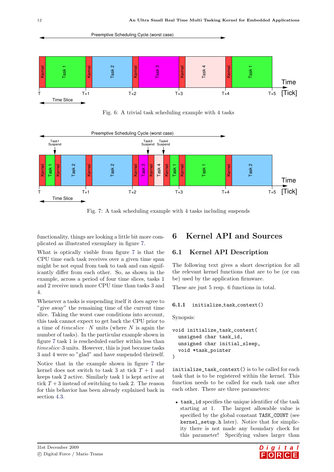

<span id="page-13-0"></span>Fig. 6: A trivial task scheduling example with 4 tasks



<span id="page-13-1"></span>Fig. 7: A task scheduling example with 4 tasks including suspends

functionality, things are looking a little bit more complicated as illustrated exemplary in figure [7.](#page-13-1)

What is optically visible from figure [7](#page-13-1) is that the CPU time each task receives over a given time span might be not equal from task to task and can significantly differ from each other. So, as shown in the example, across a period of four time slices, tasks 1 and 2 receive much more CPU time than tasks 3 and 4.

Whenever a tasks is suspending itself it does agree to "give away" the remaining time of the current time slice. Taking the worst case conditions into account, this task cannot expect to get back the CPU prior to a time of  $timeslice \cdot N$  units (where N is again the number of tasks). In the particular example shown in figure [7](#page-13-1) task 1 is rescheduled earlier within less than timeslice·3 units. However, this is just because tasks 3 and 4 were so "glad" and have suspended theirself.

Notice that in the example shown in figure [7](#page-13-1) the kernel does not switch to task 3 at tick  $T+1$  and keeps task 2 active. Similarly task 1 is kept active at tick  $T+3$  instead of switching to task 2. The reason for this behavior has been already explained back in section [4.3.](#page-8-1)

# 6 Kernel API and Sources

# 6.1 Kernel API Description

The following text gives a short description for all the relevant kernel functions that are to be (or can be) used by the application firmware.

These are just 5 resp. 6 functions in total.

#### 6.1.1 initialize task context()

Synopsis:

```
void initialize_task_context(
  unsigned char task_id,
  unsigned char initial_sleep,
  void *task_pointer
)
```
initialize\_task\_context() is to be called for each task that is to be registered within the kernel. This function needs to be called for each task one after each other. There are three parameters:

• task\_id specifies the unique identifier of the task starting at 1. The largest allowable value is specified by the global constant TASK\_COUNT (see kernel\_setup.h later). Notice that for simplicity there is not made any boundary check for this parameter! Specifying values larger than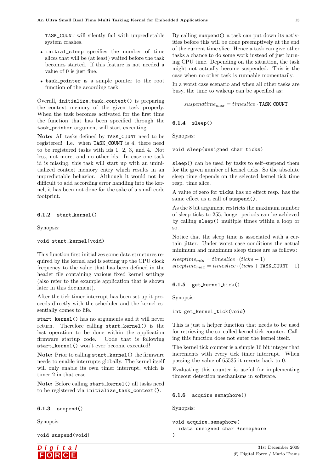TASK\_COUNT will silently fail with unpredictable system crashes.

- initial\_sleep specifies the number of time slices that will be (at least) waited before the task becomes started. If this feature is not needed a value of 0 is just fine.
- task\_pointer is a simple pointer to the root function of the according task.

Overall, initialize\_task\_context() is preparing the context memory of the given task properly. When the task becomes activated for the first time the function that has been specified through the task\_pointer argument will start executing.

Note: All tasks defined by TASK\_COUNT need to be registered! I.e. when TASK\_COUNT is 4, there need to be registered tasks with ids 1, 2, 3, and 4. Not less, not more, and no other ids. In case one task id is missing, this task will start up with an uninitialized context memory entry which results in an unpredictable behavior. Although it would not be difficult to add according error handling into the kernel, it has been not done for the sake of a small code footprint.

#### 6.1.2 start kernel()

Synopsis:

#### void start\_kernel(void)

This function first initializes some data structures required by the kernel and is setting up the CPU clock frequency to the value that has been defined in the header file containing various fixed kernel settings (also refer to the example application that is shown later in this document).

After the tick timer interrupt has been set up it proceeds directly with the scheduler and the kernel essentially comes to life.

start\_kernel() has no arguments and it will never return. Therefore calling start\_kernel() is the last operation to be done within the application firmware startup code. Code that is following start\_kernel() won't ever become executed!

Note: Prior to calling start\_kernel() the firmware needs to enable interrupts globally. The kernel itself will only enable its own timer interrupt, which is timer 2 in that case.

Note: Before calling start kernel() all tasks need to be registered via initialize\_task\_context().

#### $6.1.3$  suspend()

Synopsis:

void suspend(void)



By calling suspend() a task can put down its activities before this will be done preemptively at the end of the current time slice. Hence a task can give other tasks a chance to do some work instead of just burning CPU time. Depending on the situation, the task might not actually become suspended. This is the case when no other task is runnable momentarily.

In a worst case scenario and when all other tasks are busy, the time to wakeup can be specified as:

```
suspendtime_{max} = timeslice \cdot \texttt{TASK\_COUNT}
```
#### 6.1.4 sleep()

Synopsis:

void sleep(unsigned char ticks)

sleep() can be used by tasks to self-suspend them for the given number of kernel ticks. So the absolute sleep time depends on the selected kernel tick time resp. time slice.

A value of zero for ticks has no effect resp. has the same effect as a call of suspend().

As the 8 bit argument restricts the maximum number of sleep ticks to 255, longer periods can be achieved by calling sleep() multiple times within a loop or so.

Notice that the sleep time is associated with a certain jitter. Under worst case conditions the actual minimum and maximum sleep times are as follows:

 $sleeptime_{min} = timeslice \cdot (ticks - 1)$  $sleeptime_{max} = timeslice \cdot (ticks + TASK \_COUNT - 1)$ 

#### 6.1.5 get kernel tick()

Synopsis:

#### int get\_kernel\_tick(void)

This is just a helper function that needs to be used for retrieving the so–called kernel tick counter. Calling this function does not enter the kernel itself.

The kernel tick counter is a simple 16 bit integer that increments with every tick timer interrupt. When passing the value of 65535 it reverts back to 0.

Evaluating this counter is useful for implementing timeout detection mechanisms in software.

#### 6.1.6 acquire semaphore()

Synopsis:

)

```
void acquire_semaphore(
  idata unsigned char *semaphore
```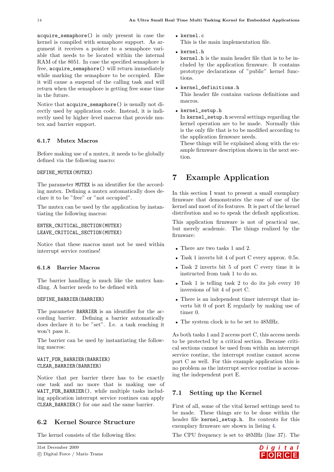acquire\_semaphore() is only present in case the kernel is compiled with semaphore support. As argument it receives a pointer to a semaphore variable that needs to be located within the internal RAM of the 8051. In case the specified semaphore is free, acquire\_semaphore() will return immediately while marking the semaphore to be occupied. Else it will cause a suspend of the calling task and will return when the semaphore is getting free some time in the future.

Notice that acquire\_semaphore() is usually not directly used by application code. Instead, it is indirectly used by higher–level macros that provide mutex and barrier support.

# 6.1.7 Mutex Macros

Before making use of a mutex, it needs to be globally defined via the following macro:

#### DEFINE\_MUTEX(MUTEX)

The parameter MUTEX is an identifier for the according mutex. Defining a mutex automatically does declare it to be "free" or "not occupied".

The mutex can be used by the application by instantiating the following macros:

#### ENTER\_CRITICAL\_SECTION(MUTEX) LEAVE\_CRITICAL\_SECTION(MUTEX)

Notice that these macros must not be used within interrupt service routines!

#### 6.1.8 Barrier Macros

The barrier handling is much like the mutex handling. A barrier needs to be defined with

#### DEFINE\_BARRIER(BARRIER)

The parameter BARRIER is an identifier for the according barrier. Defining a barrier automatically does declare it to be "set". I.e. a task reaching it won't pass it.

The barrier can be used by instantiating the following macros:

#### WAIT\_FOR\_BARRIER(BARRIER) CLEAR\_BARRIER(BARRIER)

Notice that per barrier there has to be exactly one task and no more that is making use of WAIT\_FOR\_BARRIER(), while multiple tasks including application interrupt service routines can apply CLEAR\_BARRIER() for one and the same barrier.

# 6.2 Kernel Source Structure

The kernel consists of the following files:

• kernel.c

This is the main implementation file.

• kernel.h

kernel.h is the main header file that is to be included by the application firmware. It contains prototype declarations of "public" kernel functions.

- kernel\_definitions.h This header file contains various definitions and macros.
- kernel\_setup.h

In kernel\_setup.h several settings regarding the kernel operation are to be made. Normally this is the only file that is to be modified according to the application firmware needs.

These things will be explained along with the example firmware description shown in the next section.

# 7 Example Application

In this section I want to present a small exemplary firmware that demonstrates the ease of use of the kernel and most of its features. It is part of the kernel distribution and so to speak the default application.

This application firmware is not of practical use, but merely academic. The things realized by the firmware:

- There are two tasks 1 and 2.
- Task 1 inverts bit 4 of port C every approx. 0.5s.
- Task 2 inverts bit 5 of port C every time it is instructed from task 1 to do so.
- Task 1 is telling task 2 to do its job every 10 inversions of bit 4 of port C.
- There is an independent timer interrupt that inverts bit 0 of port E regularly by making use of timer 0.
- The system clock is to be set to 48MHz.

As both tasks 1 and 2 access port C, this access needs to be protected by a critical section. Because critical sections cannot be used from within an interrupt service routine, the interrupt routine cannot access port C as well. For this example application this is no problem as the interrupt service routine is accessing the independent port E.

# 7.1 Setting up the Kernel

First of all, some of the vital kernel settings need to be made. These things are to be done within the header file kernel\_setup.h. Its contents for this exemplary firmware are shown in listing [4.](#page-16-0)

The CPU frequency is set to 48MHz (line 37). The

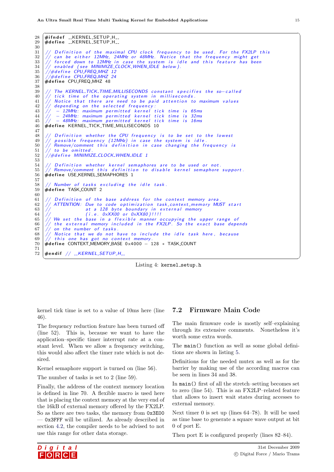<span id="page-16-0"></span> $28 \left( \text{\#ifndef ...} \textsf{KERNEL}\textsf{SETUP}.\textsf{H} \textsf{I} \right)$  $29$   $#$ define  $-KERNEL-SETUP_H$ .  $\frac{30}{31}$  $31$   $\rm \mid \textit{/} /$  Definition of the maximal CPU clock frequency to be used. For the FX2LP this  $32$   $\rm \mid \textcolor{black}{//}$  can be either 12MHz, 24MHz or 48MHz. Notice that the frequency might get  $33$   $\rm \times$  forced down to 12MHz in case the system is idle and this feature has been  $34 \mid \textit{// enabled}$  (see MINIMIZE\_CLOCK\_WHEN\_IDLE below). 35 |*//#define CPU\_FREQ\_MHZ 12*  $\frac{36}{37}$  // $\frac{44}{7}$ define CPU\_FREQ\_MHZ 24 #define CPU\_FREQ\_MHZ 48 38 The KERNEL\_TICK\_TIME\_MILLISECONDS constant specifies the so-called  $40 \mid \textcolor{red}{\textbf{\textit{/}}\textbf{\textit{/}} }$  tick time of the operating system in milliseconds.  $41$   $\rm \left/ \right/$  Notice that there are need to be paid attention to maximum values  $42 \frac{1}{4}$  depending on the selected frequency:  $\begin{array}{c|c} 43 & // & -12 \overline{\mathsf{M}} \overline{\mathsf{H}} \overline{\mathsf{H}} \end{array}$  . The maximum permitted kernel tick time is 82 ms - 24MHz: maximum permitted kernel tick time is 32ms  $\frac{45}{46}$   $\frac{7}{4}$  - 48MHz: maximum permitted kernel tick time is 16ms  $#$ define KERNEL\_TICK\_TIME\_MILLISECONDS 10 47  $48$  // Definition whether the CPU frequency is to be set to the lowest  $49$   $\frac{1}{2}$  possible frequency (12MHz) in case the system is idle.  $50$   $\frac{1}{2}$  Remove/comment this definition in case changing the frequency is  $\begin{array}{c|c} 51 & // & \text{to} & \text{onitted} \\ 52 & // \text{#define} & MINIMIZ \end{array}$  $1/4$ define MINIMIZE\_CLOCK\_WHEN\_IDLE 1 53  $55$  // Definition whether kernel semaphores are to be used or not.<br> $55$  // Remove/comment this definition to disable kernel semaphore  $55 \frac{1}{4}$  Remove/comment this definition to disable kernel semaphore support.<br> $56 \frac{1}{4}$  define USE KERNEL SEMAPHORES 1  $#$ define USE\_KERNEL\_SEMAPHORES 1 57  $58$   $\frac{1}{10}$  Number of tasks excluding the idle task. 59 #define TASK\_COUNT 2  $60\atop 61$ 61  $\frac{1}{1}$  Definition of the base address for the context memory area<br>62  $\frac{1}{1}$  ATTENTION: Due to code optimization task context memory MI ATTENTION: Due to code optimization task\_context\_memory MUST start  $63 \frac{1}{4}$  at a 128 byte boundary in external memory  $64$  //  $( i.e. 0 xXX00 or 0 xXX80)$ !!!!  $65$   $\frac{1}{4}$  We set the base in a flexible manner occupying the upper range of 66  $\frac{7}{7}$  the external memory included in the FX2LP. So the exact base depends<br>67  $\frac{7}{7}$  on the number of tasks on the number of tasks  $68$   $//$  Notice that we do not have to include the idle task here, because  $\begin{array}{c|c} 69 & // \text{ this one has got no context memory} \\ 70 & \text{#define COMTEXT-MEMORY-BASE 0x4000 -} \end{array}$ #define CONTEXT\_MEMORY\_BASE 0x4000 − 128 \* TASK\_COUNT 71  $72$   $\#$ endif // \_\_KERNEL\_SETUP\_H\_\_



 $\begin{pmatrix} 1 & 1 \\ 1 & 1 \end{pmatrix}$ 

kernel tick time is set to a value of 10ms here (line 46).

The frequency reduction feature has been turned off (line 52). This is, because we want to have the application–specific timer interrupt rate at a constant level. When we allow a frequency switching, this would also affect the timer rate which is not desired.

Kernel semaphore support is turned on (line 56).

The number of tasks is set to 2 (line 59).

Finally, the address of the context memory location is defined in line 70. A flexible macro is used here that is placing the context memory at the very end of the 16kB of external memory offered by the FX2LP. So as there are two tasks, the memory from 0x3E00 — 0x3FFF will be utilized. As already described in section [4.2,](#page-7-1) the compiler needs to be advised to not use this range for other data storage.

# 7.2 Firmware Main Code

The main firmware code is mostly self–explaining through its extensive comments. Nonetheless it's worth some extra words.

The main() function as well as some global definitions are shown in listing [5.](#page-17-0)

Definitions for the needed mutex as well as for the barrier by making use of the according macros can be seen in lines 34 and 38.

In main() first of all the stretch–setting becomes set to zero (line 54). This is an FX2LP–related feature that allows to insert wait states during accesses to external memory.

Next timer 0 is set up (lines 64–78). It will be used as time base to generate a square wave output at bit 0 of port E.

Then port E is configured properly (lines 82–84).

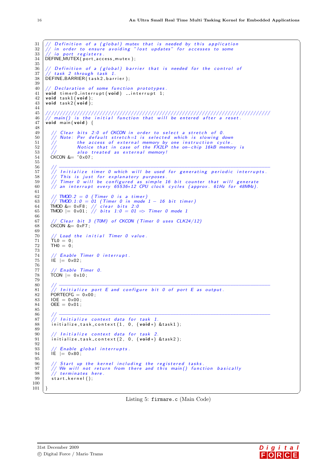```
31
 32
 33
 34
 35
 36
 37
 38
 39
 40
 41
 42
 4344
 4546
 47
 \overline{AB}49
 505152
 53
 54
 55
 56
 .57
 58
 59
 60
 61
 62
 63
 64
 65
 66
 67
 68
 69
 70
 71\,72
 \begin{array}{c} 73 \\ 74 \end{array}75
 76
 77
 78
 79
 8081
 82
 83
 84
 85
 86
 87
 88
 89
 90
 91
 92
 93
 94
 95
 96
 97
 98
 99
100101\,
```

```
/ Definition of a (global) mutex that is needed by this application<br>/ in order to ensure avoiding "lost updates" for accesses to some<br>/ io port registers.
DEFINE_MUTEX(port_access_mutex);
   Definition of a (global) barrier that is needed for the control of
     task 2 through task 1.
DEFINE_BARRIER(task2_barrier);
    Declaration of some function prototypes.
void timer0_interrupt(void) __interrupt 1;
void task1(void);
void task2(void);void main(void) {
      Clear bits 2:0 of CKCON in order to select a stretch of 0.
      Crear bits 2:0 or CACON in order to select a stretch or 0.<br>
Note: Per default stretch=1 is selected which is slowing down<br>
the access of external memory by one instruction cycle.<br>
Notice that in case of the FX2LP the on-ch
  The same structure of the twist<br>CKCON & = "0x07;
      Initialize timer 0 which will be used for generating periodic interrupts.
       This is just for explanatory purposes.<br>Timer 0 will be configured as simple 16 bit counter that will generate
   \sqrt{\vphantom{a}} an interrupt every 65536\ast12 CPU clock cycles (approx. 61Hz for 48MHz).
   // TMOD.2 = 0 (Timer 0 is a timer)
  // TMOD.2 = 0 (Timer 0 is a concerned to // TMOD.1:0 = 01 (Timer 0 in mode 1 - 16 bit timer)<br>TMOD &= 0xF8; // clear bits 2:0<br>TMOD |= 0x01; // bits 1:0 = 01 \Rightarrow Timer 0 mode 1Clear bit 3 (TOM) of CKCON (Timer 0 uses CLK24/12)
  CKCON &= 0 \times F7;
    // Load the initial Timer 0 value.
  \overline{T}LO = 0;
   TH0 = 0:
     / Enable Timer 0 interrupt.
  \overline{1E} = 0x02;
     / Enable Timer 0.
  \text{TCON} = 0 \times 10;
     / Initialize port E and configure bit 0 of port E as output.
  \overline{P}ORTECFG = 0x00;
   IOE = 0 \times 00;OEE = 0 \times 01\sqrt{2} Initialize context data for task 1
   initialize_task_context(1, 0, (void*) &task1);
   // Initialize context data for task 2.<br>initialize_task_context(2, 0, (void *) & task2);
  // Enable global interrupts.<br>IE |= 0 \times 80;
   // Start up the kernel including the registered tasks.<br>// We will not return from there and this main() function basically<br>// terminates here.
   start_kernel();
```
Listing 5: firmare.c (Main Code)

 $\rightarrow$ 

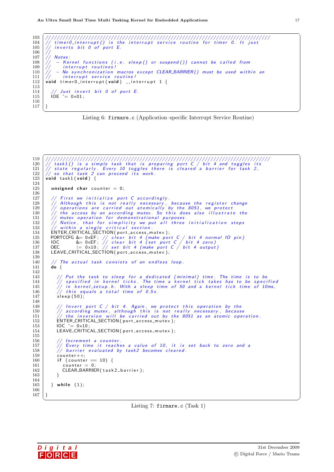<span id="page-18-0"></span>

| 103<br>104<br>105 | // timer0_interrupt() is the interrupt service routine for timer 0. It just<br>$//$ inverts bit 0 of port E. |
|-------------------|--------------------------------------------------------------------------------------------------------------|
| 106               |                                                                                                              |
| 107               | <b>Notes:</b>                                                                                                |
| 108               | // $-$ Kernel functions (i.e. sleep() or suspend()) cannot be called from                                    |
|                   | 109   // interrupt routines!                                                                                 |
|                   | 110 $\frac{1}{\sqrt{}}$ - No synchronization macros except CLEAR_BARRIER() must be used within an            |
| 111               | $\frac{1}{2}$<br>interrupt service routine!                                                                  |
| 112               | void timer0_interrupt(void) __interrupt $1 \n\{$                                                             |
| 113               |                                                                                                              |
| 114               | // Just invert bit 0 of port E.                                                                              |
| 115               | $IOE \cong 0 \times 01$ :                                                                                    |
| 116               |                                                                                                              |
| 117               |                                                                                                              |

Listing 6: firmare.c (Application-specific Interrupt Service Routine)

```
119
120
121
122
       void task1 (void) {
123
124
125
          unsigned char counter = 0;
126
127
               First we initialize port C accordingly.
              This we include this is not really necessary, because the register change<br>operations are carried out atomically by the 8051, we protect<br>the access by an according mutex. So this does also illustrate the
128
129
130
              mutex operation for demonstrational purposes.<br>Notice, that for simplicity we put all three initialization steps
131
132
          // within a single critical section.<br>ENTER_CRITICAL_SECTION(port_access_mutex);
133
134
         PORTCCFG &= 0xEF; // clear bit 4 (make port C / bit 4 normal 10 pin)<br>IOC &= 0xEF; // clear bit 4 (set port C / bit 4 zero)<br>OEC = 0x10; // set bit 4 (make port C / bit 4 output)
135
136
137
          LEAVE_CRITICAL_SECTION(port_access_mutex);
138
139
140
           // The actual task consists of an endless loop.
141
          \overline{d}o {
142
                / Put the task to sleep for a dedicated (minimal) time. The time is to be<br>/ specified in kernel ticks. The time a kernel tick takes has to be specified<br>/ in kernel_setup.h. With a sleep time of 50 and a kernel tick time of
143
144
145
              \frac{1}{\sqrt{1}} this equals a total time of 0.5s.
146
147
             sleep(50);
148
149
             // Invert port C / bit 4. Again, we protect this operation by the
                 according mutex, although this is not really necessary, because<br>the inversion will be carried out by the 8051 as an atomic operation.
150
151
152
             ENTER_CRITICAL_SECTION(port_access_mutex);
             IOC = 0 \times 10;153
             LEAVE_CRITICAL_SECTION(port_access_mutex);
154
155
156
                 Increment a counter.
             // Every time it reaches a value of 10, it is set back to zero and a<br>// Every time it reaches a value of 10, it is set back to zero and a
157
158
159
             counter++;if (counter = 10) {
160
161
                \overrightarrow{\text{counter}} = 0;
                CLEAR_BARRIER(task2_barrier);
162
163
             J.
164
165
          } while (1);
166
167
```
Listing 7: firmare.c  $(Task 1)$ 

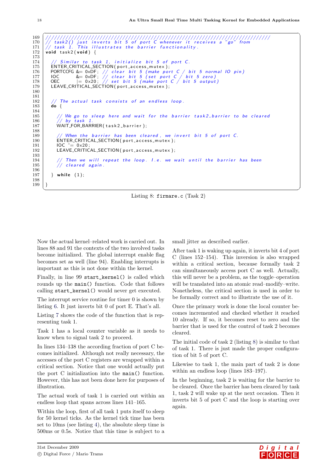```
169
170
171
     void task2(void) {
172
173
                    to task 1.
                                initialize bit 5 of port C.
174
           Similar
       ENTER_CRITICAL_SECTION(port_access_mutex);
175
       PORTCCFG &= 0xDF; // clear bit 5 (make port C / bit 5 normal 10 pin)<br>10C &= 0xDF; // clear bit 5 (set port C / bit 5 zero)<br>0EC = 0x20; // set bit 5 (make port C / bit 5 zero)
176
177
178
       LEAVE_CRITICAL_SECTION(port_access_mutex);
179
180
181
        // The actual task consists of an endless loop.
182
183
       do \{184
         // We go to sleep here and wait for the barrier task2_barrier to be cleared<br>// by task 1.
185
186
187
         WAIT_FOR_BARRIER(task2_barrier);
188
189
            When the barrier has been cleared, we invert bit 5 of port C.
         ENTER_CRITICAL_SECTION(port_access_mutex);
190
191
         10C \cong 0 \times 20:
         LEAVE_CRITICAL_SECTION(port_access_mutex);
192
193
             Then we will repeat the loop. I.e. we wait until the barrier has been
194
         // ''''' "<br>// cleared again.
195
196
       } while (1);
197
198
199
```
Listing 8: firmare.c  $(Task 2)$ 

Now the actual kernel-related work is carried out. In lines 88 and 91 the contexts of the two involved tasks become initialized. The global interrupt enable flag becomes set as well (line 94). Enabling interrupts is important as this is not done within the kernel.

Finally, in line 99 start\_kernel() is called which rounds up the main() function. Code that follows calling start\_kernel() would never get executed.

The interrupt service routine for timer  $0$  is shown by listing 6. It just inverts bit 0 of port E. That's all.

Listing 7 shows the code of the function that is representing task 1.

Task 1 has a local counter variable as it needs to know when to signal task 2 to proceed.

In lines 134–138 the according fraction of port C becomes initialized. Although not really necessary, the accesses of the port C registers are wrapped within a critical section. Notice that one would actually put the port C initialization into the main() function. However, this has not been done here for purposes of illustration.

The actual work of task 1 is carried out within an endless loop that spans across lines  $141-165$ .

Within the loop, first of all task 1 puts itself to sleep for 50 kernel ticks. As the kernel tick time has been set to 10ms (see listing 4), the absolute sleep time is 500ms or 0.5s. Notice that this time is subject to a small jitter as described earlier.

After task 1 is waking up again, it inverts bit 4 of port C (lines  $152-154$ ). This inversion is also wrapped within a critical section, because formally task 2 can simultaneously access port C as well. Actually, this will never be a problem, as the toggle-operation will be translated into an atomic read-modify-write. Nonetheless, the critical section is used in order to be formally correct and to illustrate the use of it.

Once the primary work is done the local counter becomes incremented and checked whether it reached 10 already. If so, it becomes reset to zero and the barrier that is used for the control of task 2 becomes cleared.

The initial code of task  $2$  (listing  $8$ ) is similar to that of task 1. There is just made the proper configuration of bit 5 of port C.

Likewise to task 1, the main part of task 2 is done within an endless loop (lines  $183-197$ ).

In the beginning, task 2 is waiting for the barrier to be cleared. Once the barrier has been cleared by task 1, task 2 will wake up at the next occasion. Then it inverts bit 5 of port C and the loop is starting over again.